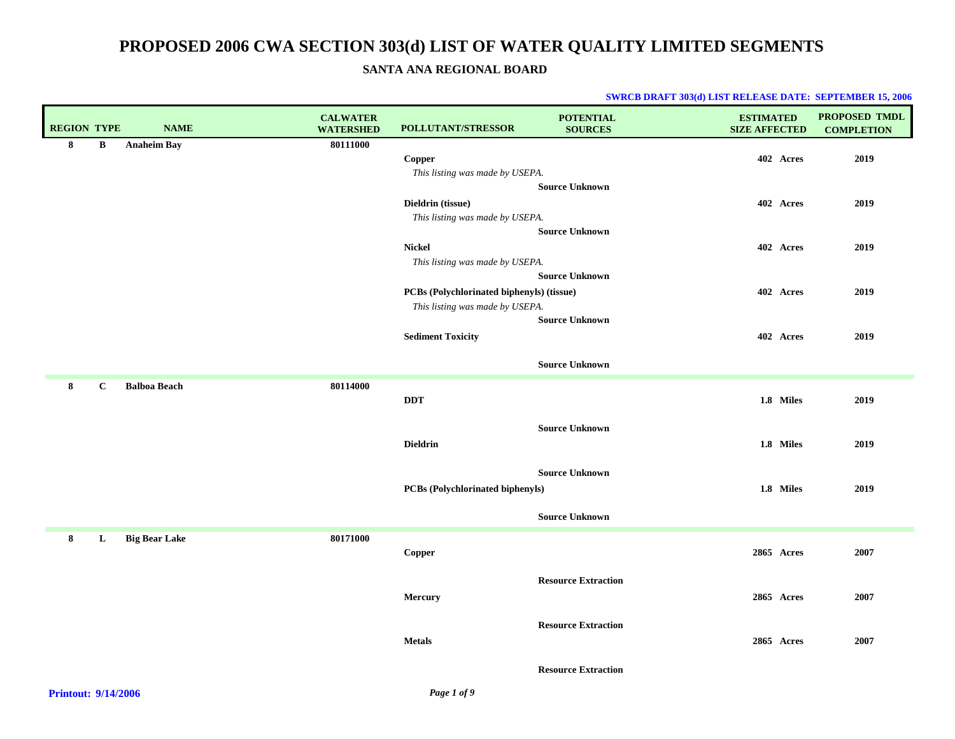**SANTA ANA REGIONAL BOARD**

| <b>REGION TYPE</b> |              | <b>NAME</b>          | <b>CALWATER</b><br><b>WATERSHED</b> | POLLUTANT/STRESSOR                        | <b>POTENTIAL</b><br><b>SOURCES</b> | <b>ESTIMATED</b><br><b>SIZE AFFECTED</b> | PROPOSED TMDL<br><b>COMPLETION</b> |
|--------------------|--------------|----------------------|-------------------------------------|-------------------------------------------|------------------------------------|------------------------------------------|------------------------------------|
| 8                  | $\bf{B}$     | <b>Anaheim Bay</b>   | 80111000                            |                                           |                                    |                                          |                                    |
|                    |              |                      |                                     | Copper                                    |                                    | 402 Acres                                | 2019                               |
|                    |              |                      |                                     | This listing was made by USEPA.           |                                    |                                          |                                    |
|                    |              |                      |                                     |                                           | <b>Source Unknown</b>              |                                          |                                    |
|                    |              |                      |                                     | Dieldrin (tissue)                         |                                    | 402 Acres                                | 2019                               |
|                    |              |                      |                                     | This listing was made by USEPA.           |                                    |                                          |                                    |
|                    |              |                      |                                     |                                           | <b>Source Unknown</b>              |                                          |                                    |
|                    |              |                      |                                     | <b>Nickel</b>                             |                                    | 402 Acres                                | 2019                               |
|                    |              |                      |                                     | This listing was made by USEPA.           |                                    |                                          |                                    |
|                    |              |                      |                                     |                                           | <b>Source Unknown</b>              |                                          |                                    |
|                    |              |                      |                                     | PCBs (Polychlorinated biphenyls) (tissue) |                                    | 402 Acres                                | 2019                               |
|                    |              |                      |                                     | This listing was made by USEPA.           |                                    |                                          |                                    |
|                    |              |                      |                                     |                                           | <b>Source Unknown</b>              |                                          |                                    |
|                    |              |                      |                                     | <b>Sediment Toxicity</b>                  |                                    | 402 Acres                                | 2019                               |
|                    |              |                      |                                     |                                           | <b>Source Unknown</b>              |                                          |                                    |
| 8                  | $\mathbf{C}$ | <b>Balboa Beach</b>  | 80114000                            |                                           |                                    |                                          |                                    |
|                    |              |                      |                                     | <b>DDT</b>                                |                                    | 1.8 Miles                                | 2019                               |
|                    |              |                      |                                     |                                           |                                    |                                          |                                    |
|                    |              |                      |                                     |                                           | <b>Source Unknown</b>              |                                          |                                    |
|                    |              |                      |                                     | <b>Dieldrin</b>                           |                                    | 1.8 Miles                                | 2019                               |
|                    |              |                      |                                     |                                           |                                    |                                          |                                    |
|                    |              |                      |                                     |                                           | <b>Source Unknown</b>              |                                          |                                    |
|                    |              |                      |                                     | PCBs (Polychlorinated biphenyls)          |                                    | 1.8 Miles                                | 2019                               |
|                    |              |                      |                                     |                                           |                                    |                                          |                                    |
|                    |              |                      |                                     |                                           | <b>Source Unknown</b>              |                                          |                                    |
| 8                  | L            | <b>Big Bear Lake</b> | 80171000                            |                                           |                                    |                                          |                                    |
|                    |              |                      |                                     | Copper                                    |                                    | 2865 Acres                               | 2007                               |
|                    |              |                      |                                     |                                           |                                    |                                          |                                    |
|                    |              |                      |                                     |                                           | <b>Resource Extraction</b>         |                                          |                                    |
|                    |              |                      |                                     | Mercury                                   |                                    | 2865 Acres                               | 2007                               |
|                    |              |                      |                                     |                                           |                                    |                                          |                                    |
|                    |              |                      |                                     |                                           | <b>Resource Extraction</b>         |                                          |                                    |
|                    |              |                      |                                     | <b>Metals</b>                             |                                    | 2865 Acres                               | 2007                               |
|                    |              |                      |                                     |                                           |                                    |                                          |                                    |
|                    |              |                      |                                     |                                           | <b>Resource Extraction</b>         |                                          |                                    |
|                    |              |                      |                                     |                                           |                                    |                                          |                                    |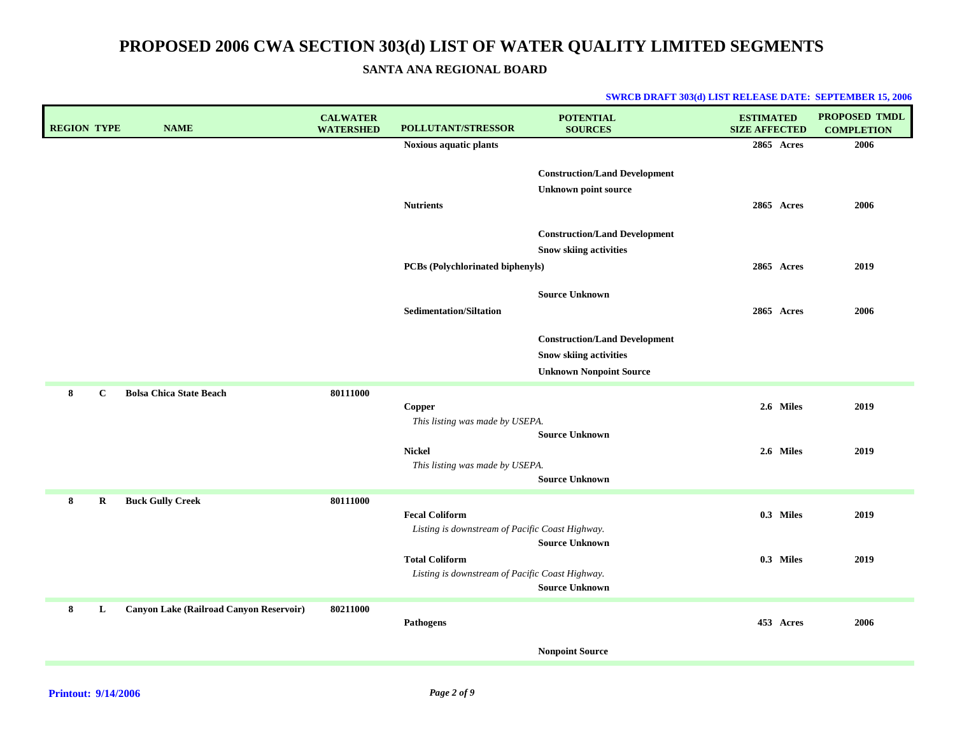**SANTA ANA REGIONAL BOARD**

| <b>REGION TYPE</b> |              | <b>NAME</b>                             | <b>CALWATER</b><br><b>WATERSHED</b> | <b>POLLUTANT/STRESSOR</b>                       | <b>POTENTIAL</b><br><b>SOURCES</b>   | <b>ESTIMATED</b><br><b>SIZE AFFECTED</b> | <b>PROPOSED TMDL</b><br><b>COMPLETION</b> |
|--------------------|--------------|-----------------------------------------|-------------------------------------|-------------------------------------------------|--------------------------------------|------------------------------------------|-------------------------------------------|
|                    |              |                                         |                                     | Noxious aquatic plants                          |                                      | 2865 Acres                               | 2006                                      |
|                    |              |                                         |                                     |                                                 | <b>Construction/Land Development</b> |                                          |                                           |
|                    |              |                                         |                                     |                                                 | <b>Unknown point source</b>          |                                          |                                           |
|                    |              |                                         |                                     | <b>Nutrients</b>                                |                                      | 2865 Acres                               | 2006                                      |
|                    |              |                                         |                                     |                                                 | <b>Construction/Land Development</b> |                                          |                                           |
|                    |              |                                         |                                     |                                                 | <b>Snow skiing activities</b>        |                                          |                                           |
|                    |              |                                         |                                     | PCBs (Polychlorinated biphenyls)                |                                      | 2865 Acres                               | 2019                                      |
|                    |              |                                         |                                     |                                                 | <b>Source Unknown</b>                |                                          |                                           |
|                    |              |                                         |                                     | <b>Sedimentation/Siltation</b>                  |                                      | 2865 Acres                               | 2006                                      |
|                    |              |                                         |                                     |                                                 | <b>Construction/Land Development</b> |                                          |                                           |
|                    |              |                                         |                                     |                                                 | <b>Snow skiing activities</b>        |                                          |                                           |
|                    |              |                                         |                                     |                                                 | <b>Unknown Nonpoint Source</b>       |                                          |                                           |
| 8                  | $\mathbf{C}$ | <b>Bolsa Chica State Beach</b>          | 80111000                            |                                                 |                                      |                                          |                                           |
|                    |              |                                         |                                     | Copper<br>This listing was made by USEPA.       |                                      | 2.6 Miles                                | 2019                                      |
|                    |              |                                         |                                     |                                                 | <b>Source Unknown</b>                |                                          |                                           |
|                    |              |                                         |                                     | <b>Nickel</b>                                   |                                      | 2.6 Miles                                | 2019                                      |
|                    |              |                                         |                                     | This listing was made by USEPA.                 | <b>Source Unknown</b>                |                                          |                                           |
| 8                  | $\bf R$      | <b>Buck Gully Creek</b>                 | 80111000                            |                                                 |                                      |                                          |                                           |
|                    |              |                                         |                                     | <b>Fecal Coliform</b>                           |                                      | 0.3 Miles                                | 2019                                      |
|                    |              |                                         |                                     | Listing is downstream of Pacific Coast Highway. |                                      |                                          |                                           |
|                    |              |                                         |                                     | <b>Total Coliform</b>                           | <b>Source Unknown</b>                | 0.3 Miles                                | 2019                                      |
|                    |              |                                         |                                     | Listing is downstream of Pacific Coast Highway. |                                      |                                          |                                           |
|                    |              |                                         |                                     |                                                 | <b>Source Unknown</b>                |                                          |                                           |
| 8                  | L            | Canyon Lake (Railroad Canyon Reservoir) | 80211000                            |                                                 |                                      |                                          |                                           |
|                    |              |                                         |                                     | <b>Pathogens</b>                                |                                      | 453 Acres                                | 2006                                      |
|                    |              |                                         |                                     |                                                 | <b>Nonpoint Source</b>               |                                          |                                           |
|                    |              |                                         |                                     |                                                 |                                      |                                          |                                           |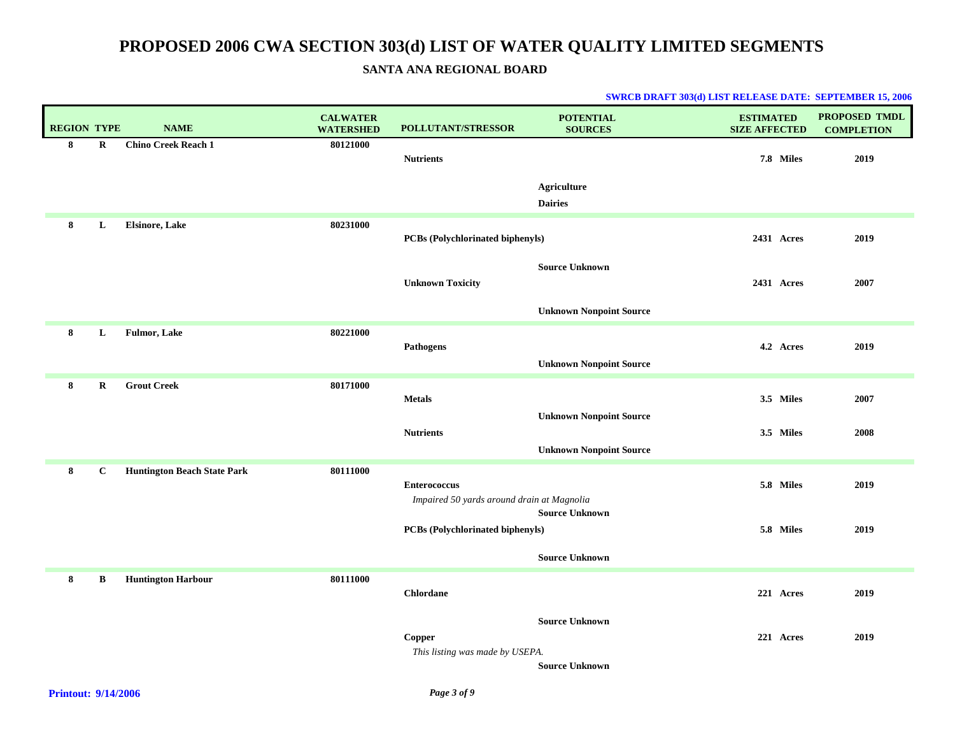### **SANTA ANA REGIONAL BOARD**

| <b>REGION TYPE</b> |              | <b>NAME</b>                        | <b>CALWATER</b><br><b>WATERSHED</b> | <b>POLLUTANT/STRESSOR</b>                  | <b>POTENTIAL</b><br><b>SOURCES</b>   | <b>ESTIMATED</b><br><b>SIZE AFFECTED</b> | PROPOSED TMDL<br><b>COMPLETION</b> |
|--------------------|--------------|------------------------------------|-------------------------------------|--------------------------------------------|--------------------------------------|------------------------------------------|------------------------------------|
| 8                  | $\bf R$      | <b>Chino Creek Reach 1</b>         | 80121000                            | <b>Nutrients</b>                           |                                      | 7.8 Miles                                | 2019                               |
|                    |              |                                    |                                     |                                            |                                      |                                          |                                    |
|                    |              |                                    |                                     |                                            | <b>Agriculture</b><br><b>Dairies</b> |                                          |                                    |
| 8                  | L            | <b>Elsinore, Lake</b>              | 80231000                            |                                            |                                      |                                          |                                    |
|                    |              |                                    |                                     | PCBs (Polychlorinated biphenyls)           |                                      | 2431 Acres                               | 2019                               |
|                    |              |                                    |                                     | <b>Unknown Toxicity</b>                    | <b>Source Unknown</b>                | 2431 Acres                               | 2007                               |
|                    |              |                                    |                                     |                                            |                                      |                                          |                                    |
|                    |              |                                    |                                     |                                            | <b>Unknown Nonpoint Source</b>       |                                          |                                    |
| 8                  | L            | <b>Fulmor, Lake</b>                | 80221000                            | Pathogens                                  |                                      | 4.2 Acres                                | 2019                               |
|                    |              |                                    |                                     |                                            | <b>Unknown Nonpoint Source</b>       |                                          |                                    |
| 8                  | $\mathbf R$  | <b>Grout Creek</b>                 | 80171000                            | <b>Metals</b>                              |                                      | 3.5 Miles                                | 2007                               |
|                    |              |                                    |                                     |                                            | <b>Unknown Nonpoint Source</b>       |                                          |                                    |
|                    |              |                                    |                                     | <b>Nutrients</b>                           |                                      | 3.5 Miles                                | 2008                               |
|                    |              |                                    |                                     |                                            | <b>Unknown Nonpoint Source</b>       |                                          |                                    |
| 8                  | $\mathbf{C}$ | <b>Huntington Beach State Park</b> | 80111000                            | <b>Enterococcus</b>                        |                                      | 5.8 Miles                                | 2019                               |
|                    |              |                                    |                                     | Impaired 50 yards around drain at Magnolia | <b>Source Unknown</b>                |                                          |                                    |
|                    |              |                                    |                                     | <b>PCBs</b> (Polychlorinated biphenyls)    |                                      | 5.8 Miles                                | 2019                               |
|                    |              |                                    |                                     |                                            | <b>Source Unknown</b>                |                                          |                                    |
| 8                  | $\, {\bf B}$ | <b>Huntington Harbour</b>          | 80111000                            |                                            |                                      |                                          |                                    |
|                    |              |                                    |                                     | <b>Chlordane</b>                           |                                      | 221 Acres                                | 2019                               |
|                    |              |                                    |                                     |                                            | <b>Source Unknown</b>                |                                          |                                    |
|                    |              |                                    |                                     | Copper<br>This listing was made by USEPA.  |                                      | 221 Acres                                | 2019                               |
|                    |              |                                    |                                     |                                            | <b>Source Unknown</b>                |                                          |                                    |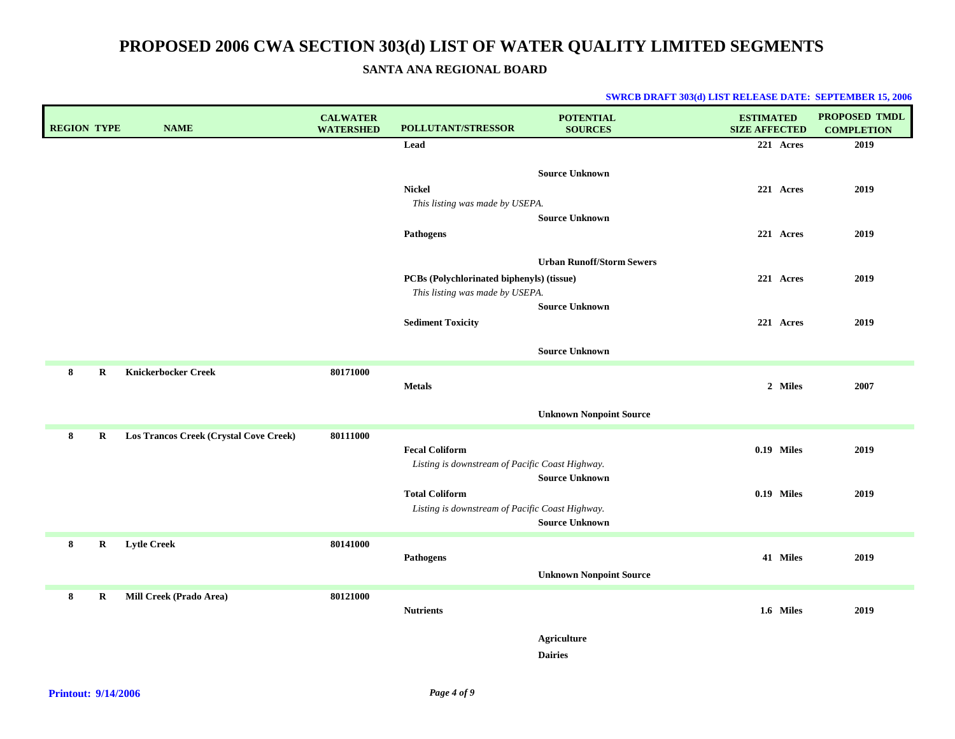**SANTA ANA REGIONAL BOARD**

| <b>REGION TYPE</b> |         | <b>NAME</b>                            | <b>CALWATER</b><br><b>WATERSHED</b> | <b>POLLUTANT/STRESSOR</b>                                                    | <b>POTENTIAL</b><br><b>SOURCES</b>   | <b>ESTIMATED</b><br><b>SIZE AFFECTED</b> | <b>PROPOSED TMDL</b><br><b>COMPLETION</b> |
|--------------------|---------|----------------------------------------|-------------------------------------|------------------------------------------------------------------------------|--------------------------------------|------------------------------------------|-------------------------------------------|
|                    |         |                                        |                                     | Lead                                                                         |                                      | 221 Acres                                | 2019                                      |
|                    |         |                                        |                                     | <b>Nickel</b>                                                                | <b>Source Unknown</b>                | 221 Acres                                | 2019                                      |
|                    |         |                                        |                                     | This listing was made by USEPA.<br>Pathogens                                 | <b>Source Unknown</b>                | 221 Acres                                | 2019                                      |
|                    |         |                                        |                                     | PCBs (Polychlorinated biphenyls) (tissue)<br>This listing was made by USEPA. | <b>Urban Runoff/Storm Sewers</b>     | 221 Acres                                | 2019                                      |
|                    |         |                                        |                                     | <b>Sediment Toxicity</b>                                                     | <b>Source Unknown</b>                | 221 Acres                                | 2019                                      |
|                    |         |                                        |                                     |                                                                              | <b>Source Unknown</b>                |                                          |                                           |
| 8                  | $\bf R$ | <b>Knickerbocker Creek</b>             | 80171000                            | <b>Metals</b>                                                                |                                      | 2 Miles                                  | 2007                                      |
|                    |         |                                        |                                     |                                                                              | <b>Unknown Nonpoint Source</b>       |                                          |                                           |
| 8                  | $\bf R$ | Los Trancos Creek (Crystal Cove Creek) | 80111000                            | <b>Fecal Coliform</b><br>Listing is downstream of Pacific Coast Highway.     | <b>Source Unknown</b>                | 0.19 Miles                               | 2019                                      |
|                    |         |                                        |                                     | <b>Total Coliform</b><br>Listing is downstream of Pacific Coast Highway.     | <b>Source Unknown</b>                | 0.19 Miles                               | 2019                                      |
| 8                  | R       | <b>Lytle Creek</b>                     | 80141000                            | <b>Pathogens</b>                                                             | <b>Unknown Nonpoint Source</b>       | 41 Miles                                 | 2019                                      |
| 8                  | R       | Mill Creek (Prado Area)                | 80121000                            | <b>Nutrients</b>                                                             |                                      | 1.6 Miles                                | 2019                                      |
|                    |         |                                        |                                     |                                                                              | <b>Agriculture</b><br><b>Dairies</b> |                                          |                                           |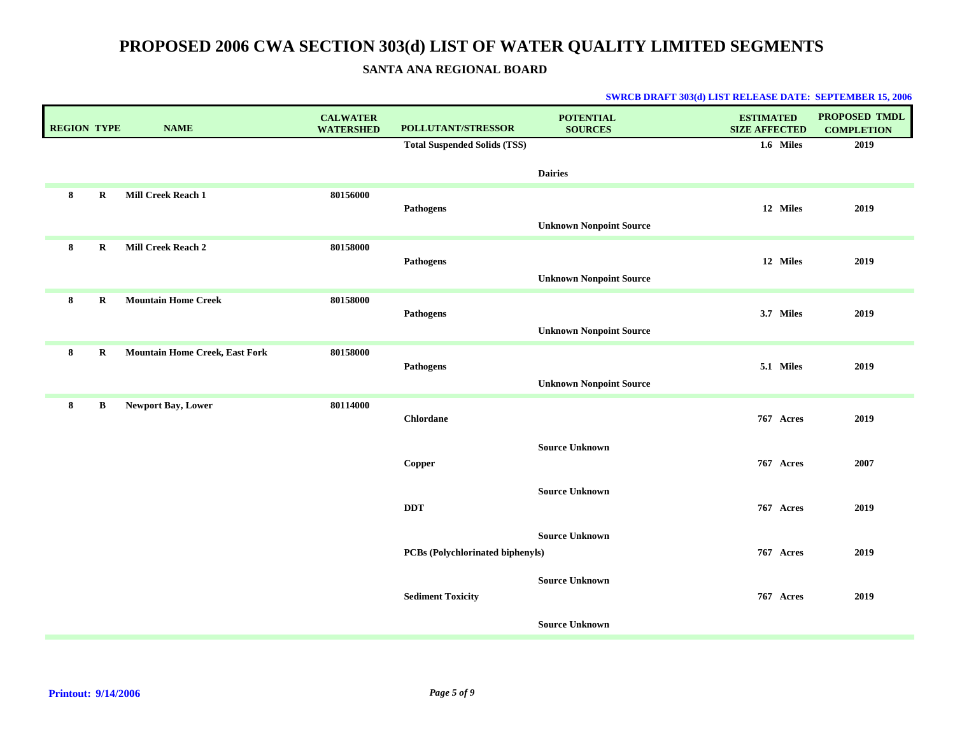**SANTA ANA REGIONAL BOARD**

| 1.6 Miles<br><b>Total Suspended Solids (TSS)</b><br><b>Dairies</b><br>Mill Creek Reach 1<br>80156000<br>8<br>$\bf R$<br>12 Miles<br><b>Pathogens</b><br><b>Unknown Nonpoint Source</b><br>Mill Creek Reach 2<br>80158000<br>8<br>$\mathbf R$<br>12 Miles | 2019<br>2019<br>2019 |
|----------------------------------------------------------------------------------------------------------------------------------------------------------------------------------------------------------------------------------------------------------|----------------------|
|                                                                                                                                                                                                                                                          |                      |
|                                                                                                                                                                                                                                                          |                      |
|                                                                                                                                                                                                                                                          |                      |
|                                                                                                                                                                                                                                                          |                      |
|                                                                                                                                                                                                                                                          |                      |
| Pathogens<br><b>Unknown Nonpoint Source</b>                                                                                                                                                                                                              |                      |
| <b>Mountain Home Creek</b><br>80158000<br>R<br>8<br>3.7 Miles                                                                                                                                                                                            | 2019                 |
| <b>Pathogens</b><br><b>Unknown Nonpoint Source</b>                                                                                                                                                                                                       |                      |
| <b>Mountain Home Creek, East Fork</b><br>8<br>$\bf R$<br>80158000                                                                                                                                                                                        |                      |
| 5.1 Miles<br>Pathogens                                                                                                                                                                                                                                   | 2019                 |
| <b>Unknown Nonpoint Source</b>                                                                                                                                                                                                                           |                      |
| Newport Bay, Lower<br>8<br>B<br>80114000<br><b>Chlordane</b><br>767 Acres                                                                                                                                                                                | 2019                 |
| <b>Source Unknown</b><br>767 Acres<br>Copper                                                                                                                                                                                                             | 2007                 |
| <b>Source Unknown</b><br>$\bf DDT$<br>767 Acres                                                                                                                                                                                                          | 2019                 |
| <b>Source Unknown</b><br>767 Acres<br>PCBs (Polychlorinated biphenyls)                                                                                                                                                                                   | 2019                 |
| <b>Source Unknown</b><br><b>Sediment Toxicity</b><br>767 Acres                                                                                                                                                                                           | 2019                 |
| <b>Source Unknown</b>                                                                                                                                                                                                                                    |                      |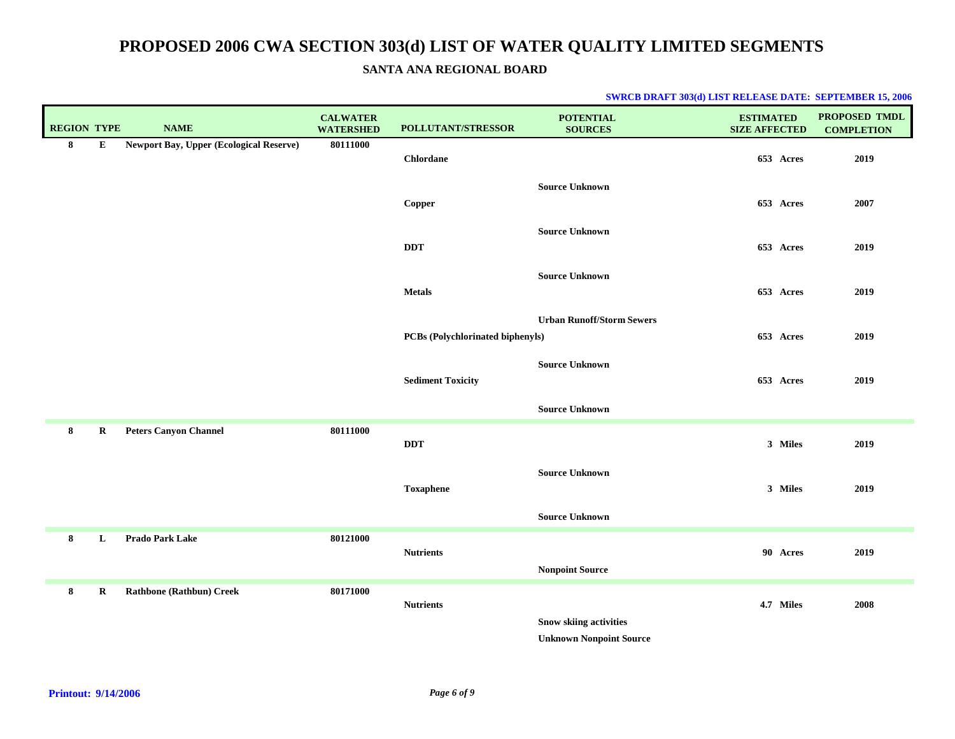### **SANTA ANA REGIONAL BOARD**

| <b>REGION TYPE</b> |             | <b>NAME</b>                                    | <b>CALWATER</b><br><b>WATERSHED</b> | POLLUTANT/STRESSOR               | <b>POTENTIAL</b><br><b>SOURCES</b>                              | <b>ESTIMATED</b><br><b>SIZE AFFECTED</b> | PROPOSED TMDL<br><b>COMPLETION</b> |
|--------------------|-------------|------------------------------------------------|-------------------------------------|----------------------------------|-----------------------------------------------------------------|------------------------------------------|------------------------------------|
| 8                  | ${\bf E}$   | <b>Newport Bay, Upper (Ecological Reserve)</b> | 80111000                            | <b>Chlordane</b>                 |                                                                 | 653 Acres                                | 2019                               |
|                    |             |                                                |                                     | Copper                           | <b>Source Unknown</b>                                           | 653 Acres                                | 2007                               |
|                    |             |                                                |                                     | <b>DDT</b>                       | <b>Source Unknown</b>                                           | 653 Acres                                | 2019                               |
|                    |             |                                                |                                     | <b>Metals</b>                    | <b>Source Unknown</b>                                           | 653 Acres                                | 2019                               |
|                    |             |                                                |                                     | PCBs (Polychlorinated biphenyls) | <b>Urban Runoff/Storm Sewers</b>                                | 653 Acres                                | 2019                               |
|                    |             |                                                |                                     | <b>Sediment Toxicity</b>         | <b>Source Unknown</b>                                           | 653 Acres                                | 2019                               |
|                    |             |                                                |                                     |                                  | <b>Source Unknown</b>                                           |                                          |                                    |
| 8                  | $\mathbf R$ | <b>Peters Canyon Channel</b>                   | 80111000                            | <b>DDT</b>                       |                                                                 | 3 Miles                                  | 2019                               |
|                    |             |                                                |                                     | <b>Toxaphene</b>                 | <b>Source Unknown</b>                                           | 3 Miles                                  | 2019                               |
|                    |             |                                                |                                     |                                  | <b>Source Unknown</b>                                           |                                          |                                    |
| 8                  | L           | Prado Park Lake                                | 80121000                            | <b>Nutrients</b>                 | <b>Nonpoint Source</b>                                          | 90 Acres                                 | 2019                               |
| 8                  | $\bf R$     | <b>Rathbone (Rathbun) Creek</b>                | 80171000                            | <b>Nutrients</b>                 | <b>Snow skiing activities</b><br><b>Unknown Nonpoint Source</b> | 4.7 Miles                                | 2008                               |
|                    |             |                                                |                                     |                                  |                                                                 |                                          |                                    |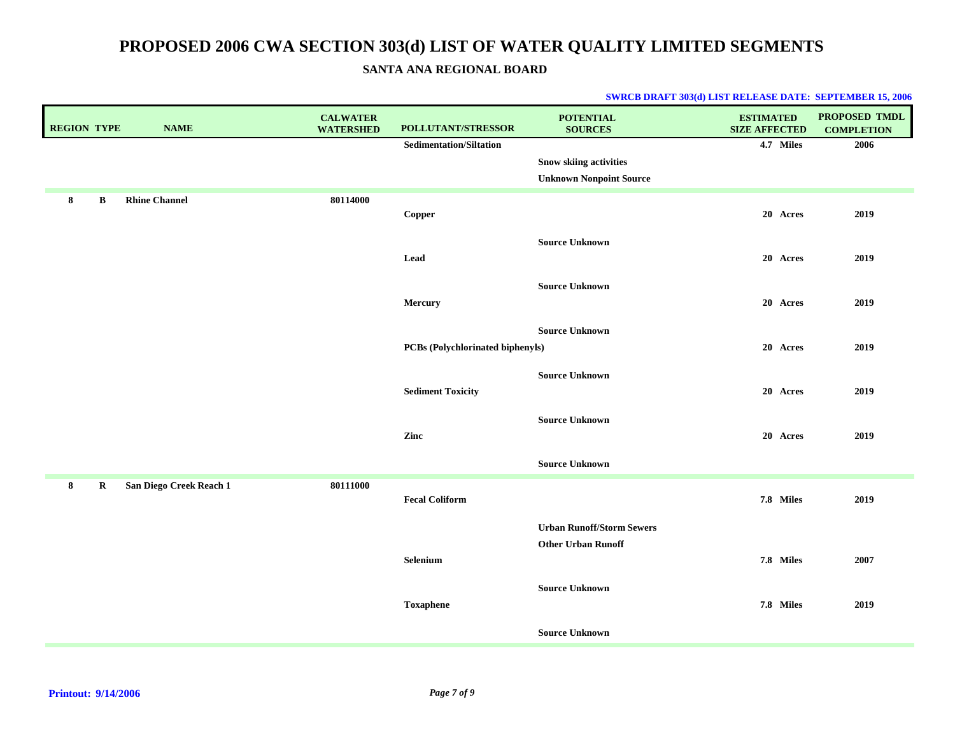**SANTA ANA REGIONAL BOARD**

| <b>REGION TYPE</b> |         | <b>NAME</b>             | <b>CALWATER</b><br><b>WATERSHED</b> | POLLUTANT/STRESSOR               | <b>POTENTIAL</b><br><b>SOURCES</b> | <b>ESTIMATED</b><br><b>SIZE AFFECTED</b> | PROPOSED TMDL<br><b>COMPLETION</b> |
|--------------------|---------|-------------------------|-------------------------------------|----------------------------------|------------------------------------|------------------------------------------|------------------------------------|
|                    |         |                         |                                     | <b>Sedimentation/Siltation</b>   |                                    | 4.7 Miles                                | 2006                               |
|                    |         |                         |                                     |                                  | <b>Snow skiing activities</b>      |                                          |                                    |
|                    |         |                         |                                     |                                  | <b>Unknown Nonpoint Source</b>     |                                          |                                    |
| 8                  | B       | <b>Rhine Channel</b>    | 80114000                            | Copper                           |                                    | 20 Acres                                 | 2019                               |
|                    |         |                         |                                     |                                  | <b>Source Unknown</b>              |                                          |                                    |
|                    |         |                         |                                     | Lead                             |                                    | 20 Acres                                 | 2019                               |
|                    |         |                         |                                     |                                  | <b>Source Unknown</b>              |                                          |                                    |
|                    |         |                         |                                     | Mercury                          |                                    | 20 Acres                                 | 2019                               |
|                    |         |                         |                                     |                                  | <b>Source Unknown</b>              |                                          |                                    |
|                    |         |                         |                                     | PCBs (Polychlorinated biphenyls) |                                    | 20 Acres                                 | 2019                               |
|                    |         |                         |                                     |                                  | <b>Source Unknown</b>              |                                          |                                    |
|                    |         |                         |                                     | <b>Sediment Toxicity</b>         |                                    | 20 Acres                                 | 2019                               |
|                    |         |                         |                                     |                                  | <b>Source Unknown</b>              |                                          |                                    |
|                    |         |                         |                                     | Zinc                             |                                    | 20 Acres                                 | 2019                               |
|                    |         |                         |                                     |                                  | <b>Source Unknown</b>              |                                          |                                    |
| 8                  | $\bf R$ | San Diego Creek Reach 1 | 80111000                            | <b>Fecal Coliform</b>            |                                    |                                          | 2019                               |
|                    |         |                         |                                     |                                  |                                    | 7.8 Miles                                |                                    |
|                    |         |                         |                                     |                                  | <b>Urban Runoff/Storm Sewers</b>   |                                          |                                    |
|                    |         |                         |                                     |                                  | <b>Other Urban Runoff</b>          |                                          |                                    |
|                    |         |                         |                                     | Selenium                         |                                    | 7.8 Miles                                | 2007                               |
|                    |         |                         |                                     |                                  | <b>Source Unknown</b>              |                                          |                                    |
|                    |         |                         |                                     | <b>Toxaphene</b>                 |                                    | 7.8 Miles                                | 2019                               |
|                    |         |                         |                                     |                                  | <b>Source Unknown</b>              |                                          |                                    |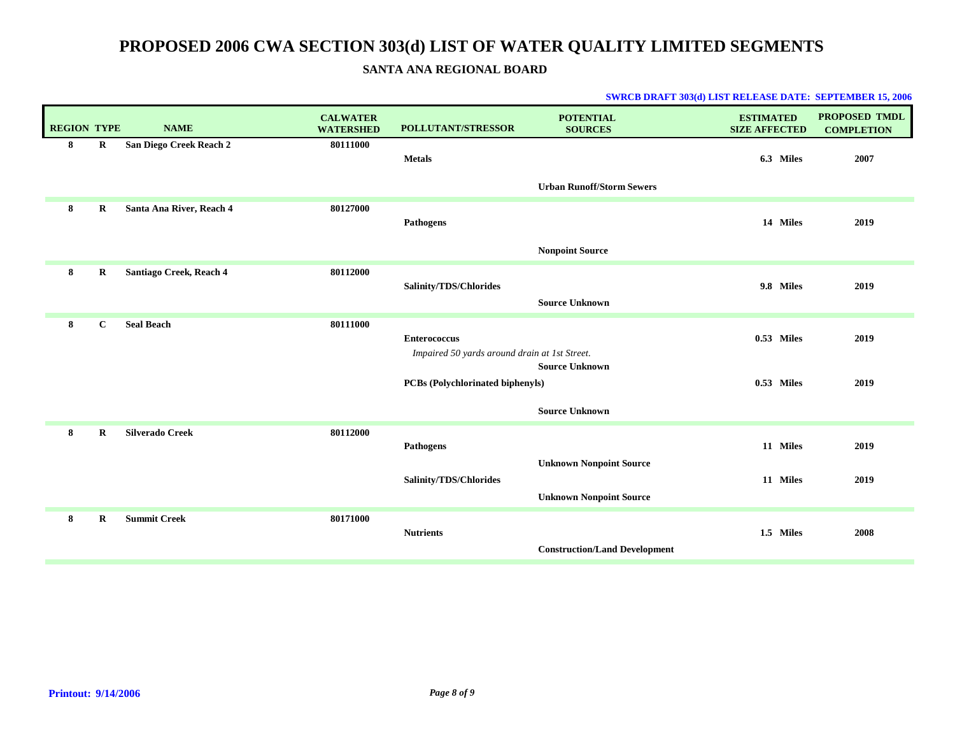### **SANTA ANA REGIONAL BOARD**

| <b>REGION TYPE</b> |             | <b>NAME</b>              | <b>CALWATER</b><br><b>WATERSHED</b> | <b>POLLUTANT/STRESSOR</b>                                            | <b>POTENTIAL</b><br><b>SOURCES</b>   | <b>ESTIMATED</b><br><b>SIZE AFFECTED</b> | <b>PROPOSED TMDL</b><br><b>COMPLETION</b> |
|--------------------|-------------|--------------------------|-------------------------------------|----------------------------------------------------------------------|--------------------------------------|------------------------------------------|-------------------------------------------|
| 8                  | $\bf R$     | San Diego Creek Reach 2  | 80111000                            | <b>Metals</b>                                                        | <b>Urban Runoff/Storm Sewers</b>     | 6.3 Miles                                | 2007                                      |
| 8                  | $\bf R$     | Santa Ana River, Reach 4 | 80127000                            | <b>Pathogens</b>                                                     |                                      | 14 Miles                                 | 2019                                      |
|                    |             |                          |                                     |                                                                      | <b>Nonpoint Source</b>               |                                          |                                           |
| 8                  | $\bf R$     | Santiago Creek, Reach 4  | 80112000                            | Salinity/TDS/Chlorides                                               | <b>Source Unknown</b>                | 9.8 Miles                                | 2019                                      |
| 8                  | $\mathbf C$ | <b>Seal Beach</b>        | 80111000                            | <b>Enterococcus</b><br>Impaired 50 yards around drain at 1st Street. | <b>Source Unknown</b>                | 0.53 Miles                               | 2019                                      |
|                    |             |                          |                                     | <b>PCBs (Polychlorinated biphenyls)</b>                              | <b>Source Unknown</b>                | $0.53$ Miles                             | 2019                                      |
| 8                  | $\bf R$     | <b>Silverado Creek</b>   | 80112000                            | <b>Pathogens</b>                                                     | <b>Unknown Nonpoint Source</b>       | 11 Miles                                 | 2019                                      |
|                    |             |                          |                                     | Salinity/TDS/Chlorides                                               | <b>Unknown Nonpoint Source</b>       | 11 Miles                                 | 2019                                      |
| 8                  | $\bf R$     | <b>Summit Creek</b>      | 80171000                            | <b>Nutrients</b>                                                     | <b>Construction/Land Development</b> | 1.5 Miles                                | 2008                                      |